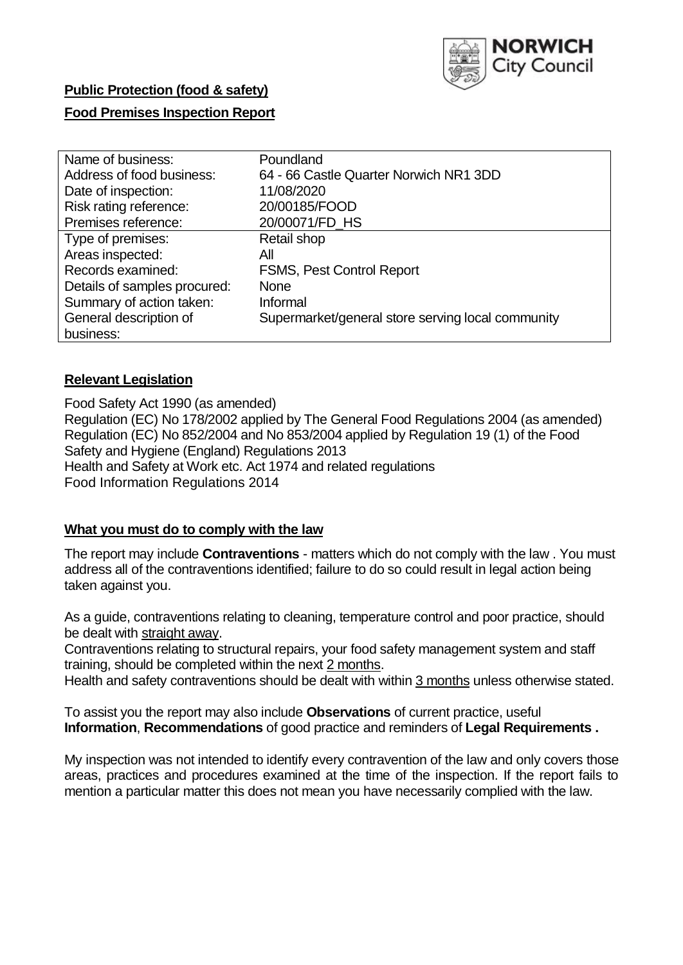

# **Public Protection (food & safety)**

## **Food Premises Inspection Report**

| Name of business:            | Poundland                                         |
|------------------------------|---------------------------------------------------|
| Address of food business:    | 64 - 66 Castle Quarter Norwich NR1 3DD            |
| Date of inspection:          | 11/08/2020                                        |
| Risk rating reference:       | 20/00185/FOOD                                     |
| Premises reference:          | 20/00071/FD HS                                    |
| Type of premises:            | Retail shop                                       |
| Areas inspected:             | All                                               |
| Records examined:            | <b>FSMS, Pest Control Report</b>                  |
| Details of samples procured: | <b>None</b>                                       |
| Summary of action taken:     | Informal                                          |
| General description of       | Supermarket/general store serving local community |
| business:                    |                                                   |

## **Relevant Legislation**

 Food Safety Act 1990 (as amended) Regulation (EC) No 178/2002 applied by The General Food Regulations 2004 (as amended) Regulation (EC) No 852/2004 and No 853/2004 applied by Regulation 19 (1) of the Food Safety and Hygiene (England) Regulations 2013 Health and Safety at Work etc. Act 1974 and related regulations Food Information Regulations 2014

## **What you must do to comply with the law**

 The report may include **Contraventions** - matters which do not comply with the law . You must address all of the contraventions identified; failure to do so could result in legal action being taken against you.

 As a guide, contraventions relating to cleaning, temperature control and poor practice, should be dealt with straight away.

 Contraventions relating to structural repairs, your food safety management system and staff training, should be completed within the next 2 months.

Health and safety contraventions should be dealt with within 3 months unless otherwise stated.

 To assist you the report may also include **Observations** of current practice, useful **Information**, **Recommendations** of good practice and reminders of **Legal Requirements .** 

 My inspection was not intended to identify every contravention of the law and only covers those areas, practices and procedures examined at the time of the inspection. If the report fails to mention a particular matter this does not mean you have necessarily complied with the law.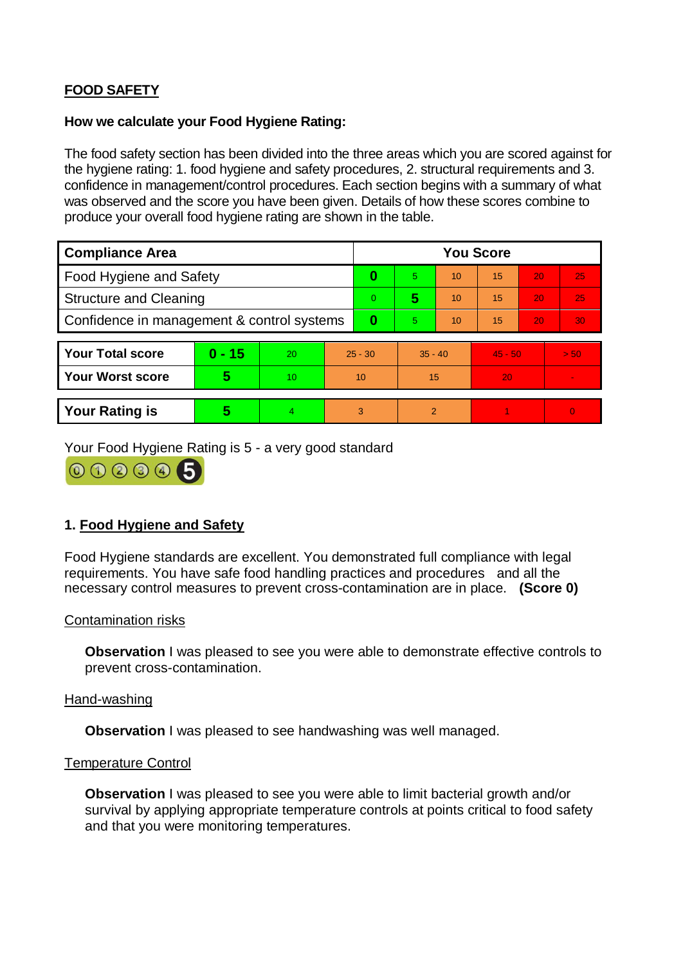# **FOOD SAFETY**

## **How we calculate your Food Hygiene Rating:**

 The food safety section has been divided into the three areas which you are scored against for the hygiene rating: 1. food hygiene and safety procedures, 2. structural requirements and 3. confidence in management/control procedures. Each section begins with a summary of what was observed and the score you have been given. Details of how these scores combine to produce your overall food hygiene rating are shown in the table.

| <b>Compliance Area</b>                     |          |           |           | <b>You Score</b> |           |    |           |    |                |  |  |
|--------------------------------------------|----------|-----------|-----------|------------------|-----------|----|-----------|----|----------------|--|--|
| Food Hygiene and Safety                    |          |           | 0         | 5.               | 10        | 15 | 20        | 25 |                |  |  |
| <b>Structure and Cleaning</b>              |          |           | $\Omega$  | 5                | 10        | 15 | 20        | 25 |                |  |  |
| Confidence in management & control systems |          |           | $\bf{0}$  | 5                | 10        | 15 | 20        | 30 |                |  |  |
|                                            |          |           |           |                  |           |    |           |    |                |  |  |
| <b>Your Total score</b>                    | $0 - 15$ | <b>20</b> | $25 - 30$ |                  | $35 - 40$ |    | $45 - 50$ |    | > 50           |  |  |
| <b>Your Worst score</b>                    | 5        | 10        | 10        |                  | 15        |    | 20        |    | $\blacksquare$ |  |  |
|                                            |          |           |           |                  |           |    |           |    |                |  |  |
| <b>Your Rating is</b>                      | 5        | 4.        | 3         |                  | 2         |    |           |    | $\overline{0}$ |  |  |

Your Food Hygiene Rating is 5 - a very good standard



## **1. Food Hygiene and Safety**

 Food Hygiene standards are excellent. You demonstrated full compliance with legal requirements. You have safe food handling practices and procedures and all the necessary control measures to prevent cross-contamination are in place. **(Score 0)** 

## Contamination risks

**Observation** I was pleased to see you were able to demonstrate effective controls to prevent cross-contamination.

#### Hand-washing

**Observation I** was pleased to see handwashing was well managed.

#### Temperature Control

 **Observation** I was pleased to see you were able to limit bacterial growth and/or survival by applying appropriate temperature controls at points critical to food safety and that you were monitoring temperatures.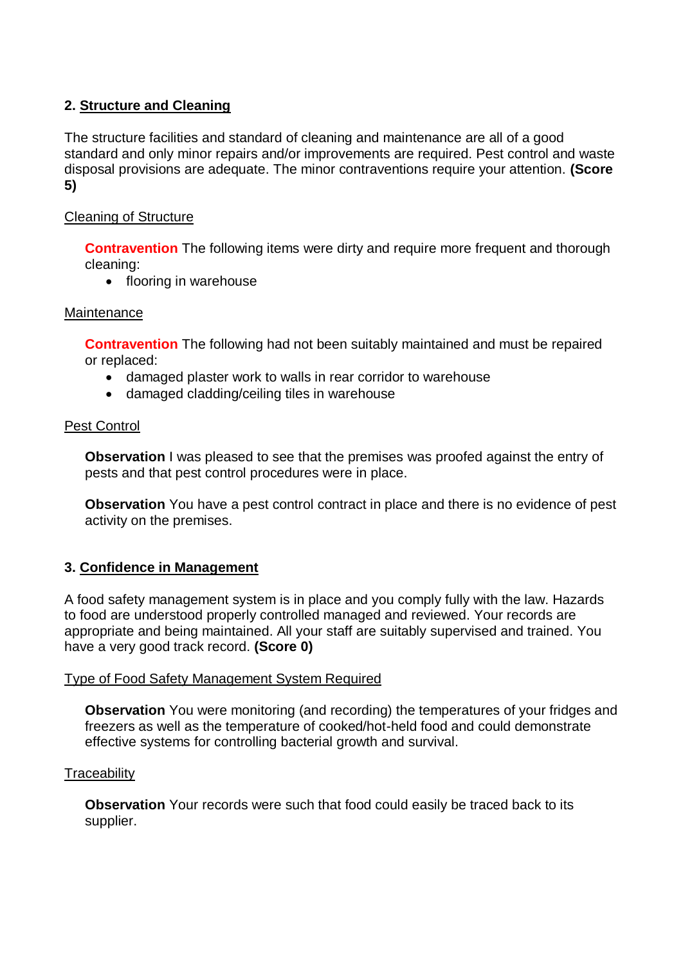## **2. Structure and Cleaning**

The structure facilities and standard of cleaning and maintenance are all of a good standard and only minor repairs and/or improvements are required. Pest control and waste disposal provisions are adequate. The minor contraventions require your attention. **(Score 5)** 

## Cleaning of Structure

**Contravention** The following items were dirty and require more frequent and thorough cleaning:

• flooring in warehouse

## **Maintenance**

**Contravention** The following had not been suitably maintained and must be repaired or replaced:

- damaged plaster work to walls in rear corridor to warehouse
- damaged cladding/ceiling tiles in warehouse

#### Pest Control

**Observation** I was pleased to see that the premises was proofed against the entry of pests and that pest control procedures were in place.

**Observation** You have a pest control contract in place and there is no evidence of pest activity on the premises.

## **3. Confidence in Management**

A food safety management system is in place and you comply fully with the law. Hazards to food are understood properly controlled managed and reviewed. Your records are appropriate and being maintained. All your staff are suitably supervised and trained. You have a very good track record. **(Score 0)** 

## Type of Food Safety Management System Required

 **Observation** You were monitoring (and recording) the temperatures of your fridges and freezers as well as the temperature of cooked/hot-held food and could demonstrate effective systems for controlling bacterial growth and survival.

## **Traceability**

**Observation** Your records were such that food could easily be traced back to its supplier.